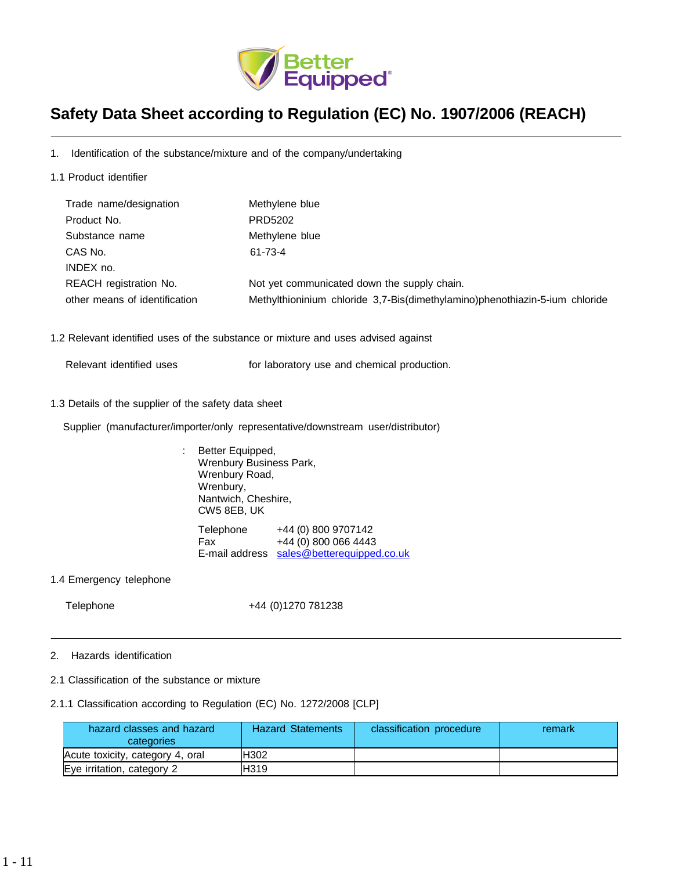

# **Safety Data Sheet according to Regulation (EC) No. 1907/2006 (REACH)**

1. Identification of the substance/mixture and of the company/undertaking

1.1 Product identifier

| Trade name/designation        | Methylene blue                                                              |
|-------------------------------|-----------------------------------------------------------------------------|
| Product No.                   | PRD5202                                                                     |
| Substance name                | Methylene blue                                                              |
| CAS No.                       | 61-73-4                                                                     |
| INDEX no.                     |                                                                             |
| <b>REACH</b> registration No. | Not yet communicated down the supply chain.                                 |
| other means of identification | Methylthioninium chloride 3,7-Bis(dimethylamino)phenothiazin-5-ium chloride |

- 1.2 Relevant identified uses of the substance or mixture and uses advised against
	- Relevant identified uses **For laboratory use and chemical production**.
- 1.3 Details of the supplier of the safety data sheet

Supplier (manufacturer/importer/only representative/downstream user/distributor)

: Better Equipped, Wrenbury Business Park, Wrenbury Road, Wrenbury, Nantwich, Cheshire, CW5 8EB, UK Telephone +44 (0) 800 9707142 Fax +44 (0) 800 066 4443 E-mail address [sales@betterequipped.co.uk](mailto:sales@betterequipped.co.uk)

1.4 Emergency telephone

Telephone +44 (0)1270 781238

- 2. Hazards identification
- 2.1 Classification of the substance or mixture

# 2.1.1 Classification according to Regulation (EC) No. 1272/2008 [CLP]

| hazard classes and hazard<br>categories | <b>Hazard Statements</b> | classification procedure | remark |
|-----------------------------------------|--------------------------|--------------------------|--------|
| Acute toxicity, category 4, oral        | H302                     |                          |        |
| Eye irritation, category 2              | H319                     |                          |        |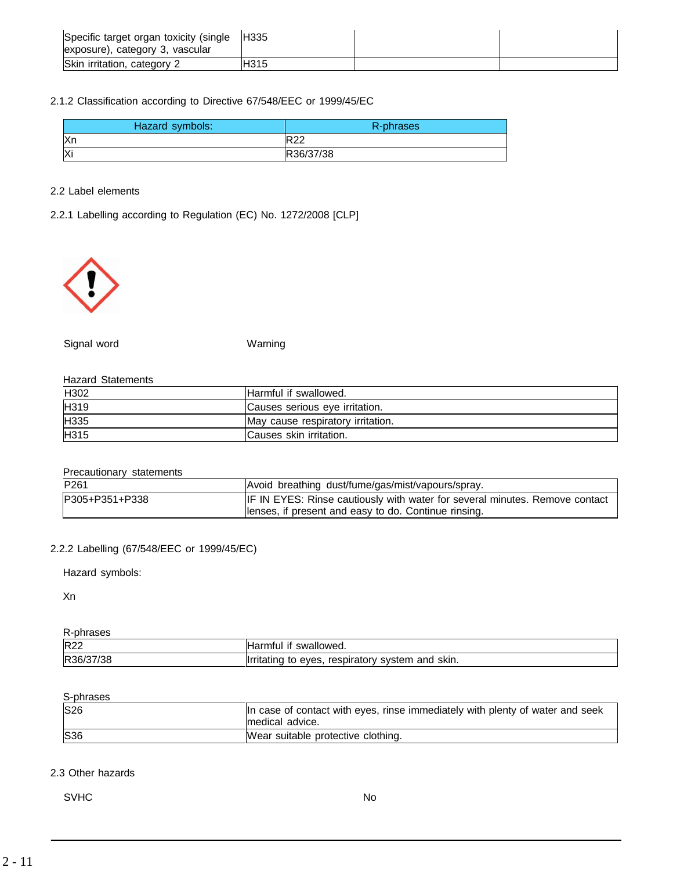| Specific target organ toxicity (single<br>exposure), category 3, vascular | <b>H335</b> |  |
|---------------------------------------------------------------------------|-------------|--|
| Skin irritation, category 2                                               | <b>H315</b> |  |

# 2.1.2 Classification according to Directive 67/548/EEC or 1999/45/EC

| Hazard symbols: | R-phrases  |
|-----------------|------------|
| Xn              | <b>R22</b> |
| Xi              | R36/37/38  |

# 2.2 Label elements

# 2.2.1 Labelling according to Regulation (EC) No. 1272/2008 [CLP]



Signal word Warning

# Hazard Statements

| H302 | Harmful if swallowed.             |
|------|-----------------------------------|
| H319 | Causes serious eye irritation.    |
| H335 | May cause respiratory irritation. |
| H315 | Causes skin irritation.           |

# Precautionary statements

| P <sub>261</sub> | Avoid breathing dust/fume/gas/mist/vapours/spray.                                  |
|------------------|------------------------------------------------------------------------------------|
| P305+P351+P338   | <b>IF IN EYES:</b> Rinse cautiously with water for several minutes. Remove contact |
|                  | llenses, if present and easy to do. Continue rinsing.                              |

# 2.2.2 Labelling (67/548/EEC or 1999/45/EC)

Hazard symbols:

Xn

| hrases<br>-pr |                                                                             |
|---------------|-----------------------------------------------------------------------------|
| <b>R22</b>    | <sup>+</sup> swallowed.<br>Harmtul it                                       |
| 7/38<br>R36/  | ' skin.<br><b>Ilrritating</b><br>and<br>svstem<br>eves.<br>respiratory<br>w |

# S-phrases

| <b>S26</b> | In case of contact with eyes, rinse immediately with plenty of water and seek<br>Imedical advice. |
|------------|---------------------------------------------------------------------------------------------------|
| <b>S36</b> | Wear suitable protective clothing.                                                                |

# 2.3 Other hazards

SVHC No. 2006. In the set of the set of the set of the set of the set of the set of the set of the set of the set of the set of the set of the set of the set of the set of the set of the set of the set of the set of the se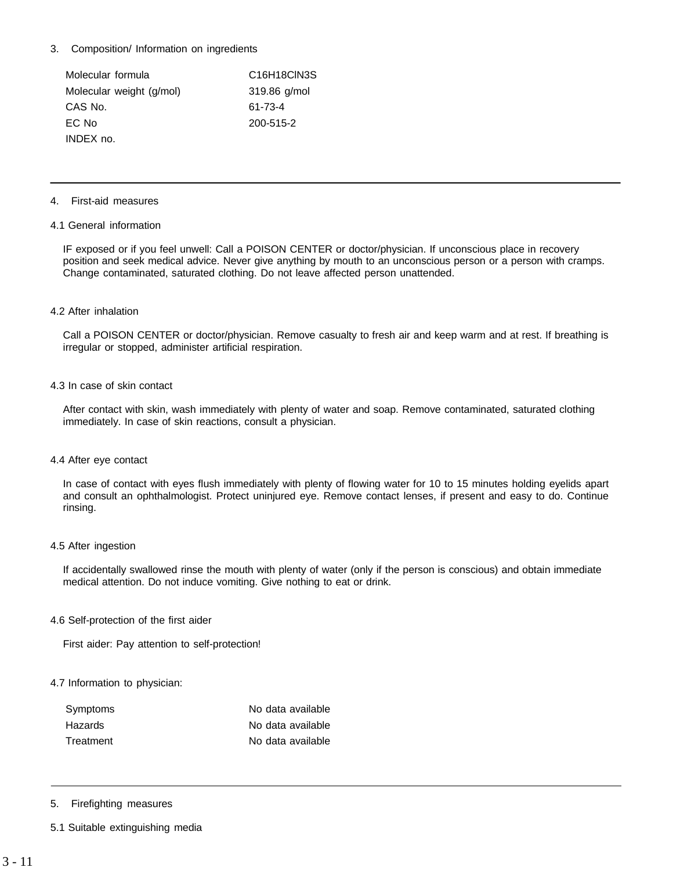# 3. Composition/ Information on ingredients

| Molecular formula        | C <sub>16</sub> H <sub>18</sub> CIN <sub>3</sub> S |
|--------------------------|----------------------------------------------------|
| Molecular weight (g/mol) | $319.86$ g/mol                                     |
| CAS No.                  | 61-73-4                                            |
| EC No                    | 200-515-2                                          |
| INDEX no.                |                                                    |

#### 4. First-aid measures

#### 4.1 General information

IF exposed or if you feel unwell: Call a POISON CENTER or doctor/physician. If unconscious place in recovery position and seek medical advice. Never give anything by mouth to an unconscious person or a person with cramps. Change contaminated, saturated clothing. Do not leave affected person unattended.

# 4.2 After inhalation

Call a POISON CENTER or doctor/physician. Remove casualty to fresh air and keep warm and at rest. If breathing is irregular or stopped, administer artificial respiration.

#### 4.3 In case of skin contact

After contact with skin, wash immediately with plenty of water and soap. Remove contaminated, saturated clothing immediately. In case of skin reactions, consult a physician.

#### 4.4 After eye contact

In case of contact with eyes flush immediately with plenty of flowing water for 10 to 15 minutes holding eyelids apart and consult an ophthalmologist. Protect uninjured eye. Remove contact lenses, if present and easy to do. Continue rinsing.

#### 4.5 After ingestion

If accidentally swallowed rinse the mouth with plenty of water (only if the person is conscious) and obtain immediate medical attention. Do not induce vomiting. Give nothing to eat or drink.

#### 4.6 Self-protection of the first aider

First aider: Pay attention to self-protection!

## 4.7 Information to physician:

| Symptoms  | No data available |
|-----------|-------------------|
| Hazards   | No data available |
| Treatment | No data available |

## 5. Firefighting measures

5.1 Suitable extinguishing media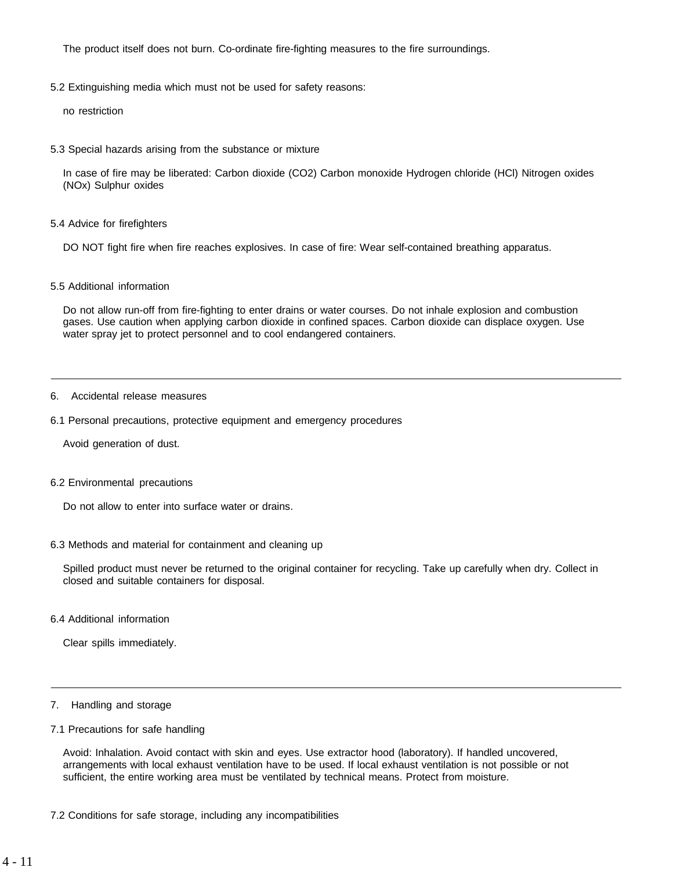The product itself does not burn. Co-ordinate fire-fighting measures to the fire surroundings.

5.2 Extinguishing media which must not be used for safety reasons:

no restriction

5.3 Special hazards arising from the substance or mixture

In case of fire may be liberated: Carbon dioxide (CO2) Carbon monoxide Hydrogen chloride (HCl) Nitrogen oxides (NOx) Sulphur oxides

5.4 Advice for firefighters

DO NOT fight fire when fire reaches explosives. In case of fire: Wear self-contained breathing apparatus.

#### 5.5 Additional information

Do not allow run-off from fire-fighting to enter drains or water courses. Do not inhale explosion and combustion gases. Use caution when applying carbon dioxide in confined spaces. Carbon dioxide can displace oxygen. Use water spray jet to protect personnel and to cool endangered containers.

# 6. Accidental release measures

6.1 Personal precautions, protective equipment and emergency procedures

Avoid generation of dust.

6.2 Environmental precautions

Do not allow to enter into surface water or drains.

6.3 Methods and material for containment and cleaning up

Spilled product must never be returned to the original container for recycling. Take up carefully when dry. Collect in closed and suitable containers for disposal.

6.4 Additional information

Clear spills immediately.

- 7. Handling and storage
- 7.1 Precautions for safe handling

Avoid: Inhalation. Avoid contact with skin and eyes. Use extractor hood (laboratory). If handled uncovered, arrangements with local exhaust ventilation have to be used. If local exhaust ventilation is not possible or not sufficient, the entire working area must be ventilated by technical means. Protect from moisture.

7.2 Conditions for safe storage, including any incompatibilities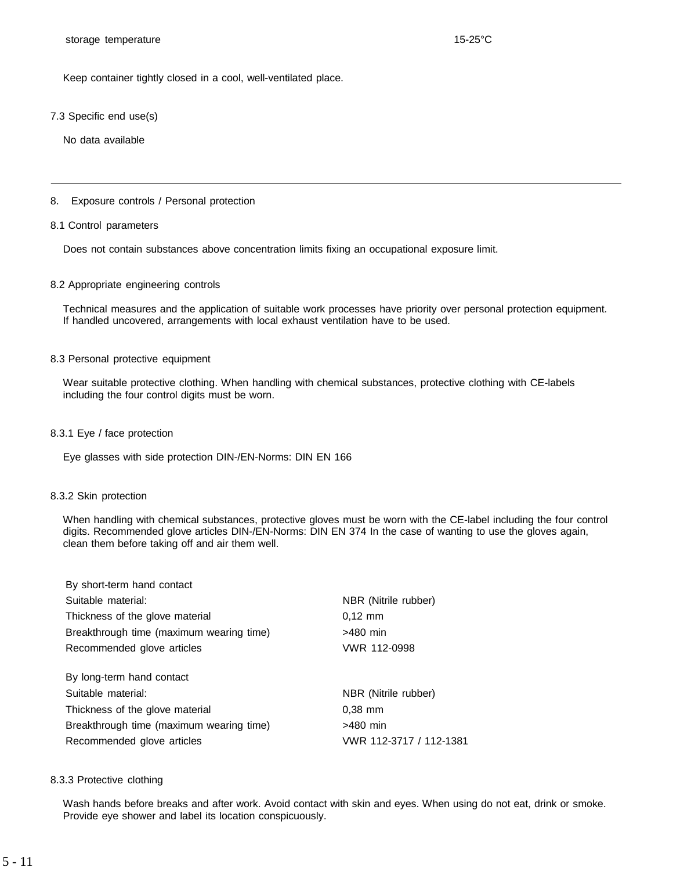Keep container tightly closed in a cool, well-ventilated place.

#### 7.3 Specific end use(s)

No data available

#### 8. Exposure controls / Personal protection

#### 8.1 Control parameters

Does not contain substances above concentration limits fixing an occupational exposure limit.

#### 8.2 Appropriate engineering controls

Technical measures and the application of suitable work processes have priority over personal protection equipment. If handled uncovered, arrangements with local exhaust ventilation have to be used.

#### 8.3 Personal protective equipment

Wear suitable protective clothing. When handling with chemical substances, protective clothing with CE-labels including the four control digits must be worn.

#### 8.3.1 Eye / face protection

Eye glasses with side protection DIN-/EN-Norms: DIN EN 166

#### 8.3.2 Skin protection

When handling with chemical substances, protective gloves must be worn with the CE-label including the four control digits. Recommended glove articles DIN-/EN-Norms: DIN EN 374 In the case of wanting to use the gloves again, clean them before taking off and air them well.

| By short-term hand contact               |                         |
|------------------------------------------|-------------------------|
| Suitable material:                       | NBR (Nitrile rubber)    |
| Thickness of the glove material          | $0.12 \, \text{mm}$     |
| Breakthrough time (maximum wearing time) | >480 min                |
| Recommended glove articles               | VWR 112-0998            |
| By long-term hand contact                |                         |
| Suitable material:                       | NBR (Nitrile rubber)    |
| Thickness of the glove material          | $0.38$ mm               |
| Breakthrough time (maximum wearing time) | $>480$ min              |
| Recommended glove articles               | VWR 112-3717 / 112-1381 |

#### 8.3.3 Protective clothing

Wash hands before breaks and after work. Avoid contact with skin and eyes. When using do not eat, drink or smoke. Provide eye shower and label its location conspicuously.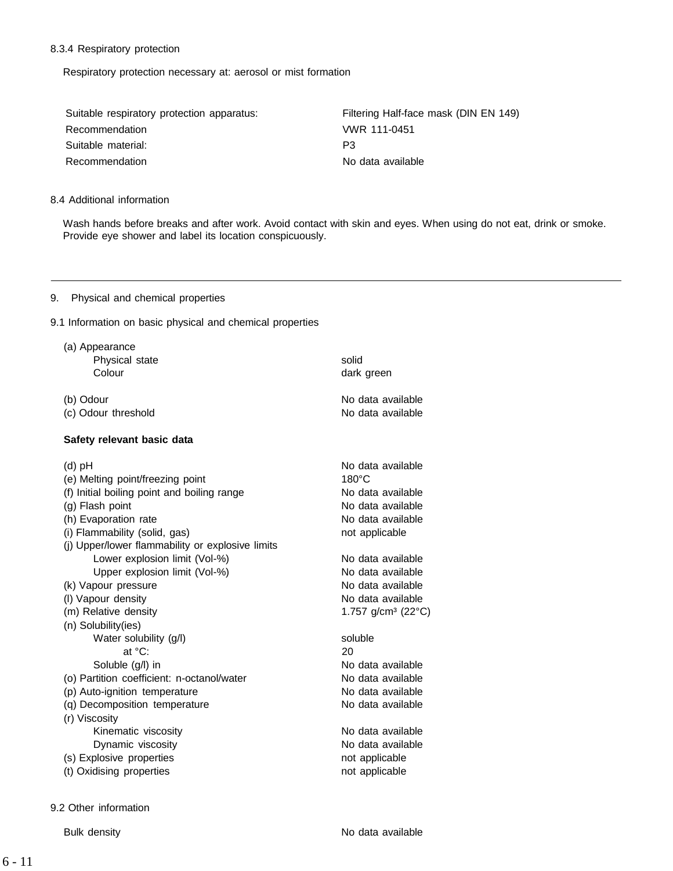# 8.3.4 Respiratory protection

Respiratory protection necessary at: aerosol or mist formation

| Suitable respiratory protection apparatus: | Filtering Half-face mask (DIN EN 149) |
|--------------------------------------------|---------------------------------------|
| Recommendation                             | VWR 111-0451                          |
| Suitable material:                         | P3                                    |
| Recommendation                             | No data available                     |

## 8.4 Additional information

Wash hands before breaks and after work. Avoid contact with skin and eyes. When using do not eat, drink or smoke. Provide eye shower and label its location conspicuously.

## 9. Physical and chemical properties

9.1 Information on basic physical and chemical properties

| (a) Appearance                                   |                                |
|--------------------------------------------------|--------------------------------|
| Physical state                                   | solid                          |
| Colour                                           | dark green                     |
|                                                  |                                |
| (b) Odour                                        | No data available              |
| (c) Odour threshold                              | No data available              |
| Safety relevant basic data                       |                                |
|                                                  |                                |
| $(d)$ pH                                         | No data available              |
| (e) Melting point/freezing point                 | $180^\circ C$                  |
| (f) Initial boiling point and boiling range      | No data available              |
| (g) Flash point                                  | No data available              |
| (h) Evaporation rate                             | No data available              |
| (i) Flammability (solid, gas)                    | not applicable                 |
| (j) Upper/lower flammability or explosive limits |                                |
| Lower explosion limit (Vol-%)                    | No data available              |
| Upper explosion limit (Vol-%)                    | No data available              |
| (k) Vapour pressure                              | No data available              |
| (I) Vapour density                               | No data available              |
| (m) Relative density                             | 1.757 g/cm <sup>3</sup> (22°C) |
| (n) Solubility(ies)                              |                                |
| Water solubility (g/l)                           | soluble                        |
| at °C:                                           | 20                             |
| Soluble (g/l) in                                 | No data available              |
| (o) Partition coefficient: n-octanol/water       | No data available              |
| (p) Auto-ignition temperature                    | No data available              |
| (q) Decomposition temperature                    | No data available              |
| (r) Viscosity                                    |                                |
| Kinematic viscosity                              | No data available              |
| Dynamic viscosity                                | No data available              |
| (s) Explosive properties                         | not applicable                 |
| (t) Oxidising properties                         | not applicable                 |
|                                                  |                                |

9.2 Other information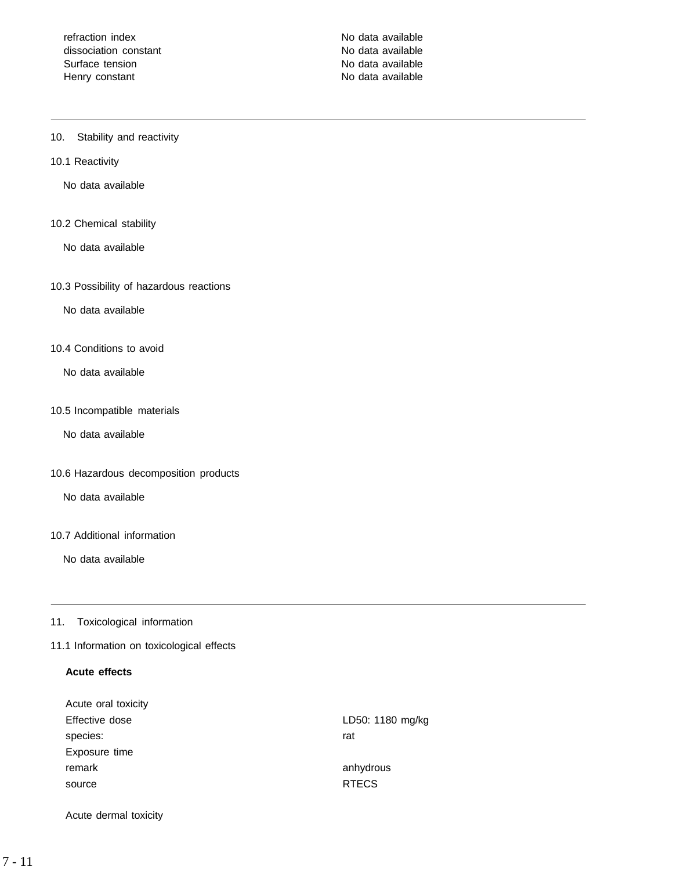refraction index No data available dissociation constant dissociation constant Surface tension No data available Henry constant No data available

# 10. Stability and reactivity

#### 10.1 Reactivity

No data available

#### 10.2 Chemical stability

No data available

#### 10.3 Possibility of hazardous reactions

No data available

#### 10.4 Conditions to avoid

No data available

# 10.5 Incompatible materials

No data available

## 10.6 Hazardous decomposition products

No data available

# 10.7 Additional information

No data available

#### 11. Toxicological information

# 11.1 Information on toxicological effects

# **Acute effects**

| Acute oral toxicity |                  |
|---------------------|------------------|
| Effective dose      | LD50: 1180 mg/kg |
| species:            | rat              |
| Exposure time       |                  |
| remark              | anhydrous        |
| source              | <b>RTECS</b>     |
|                     |                  |

Acute dermal toxicity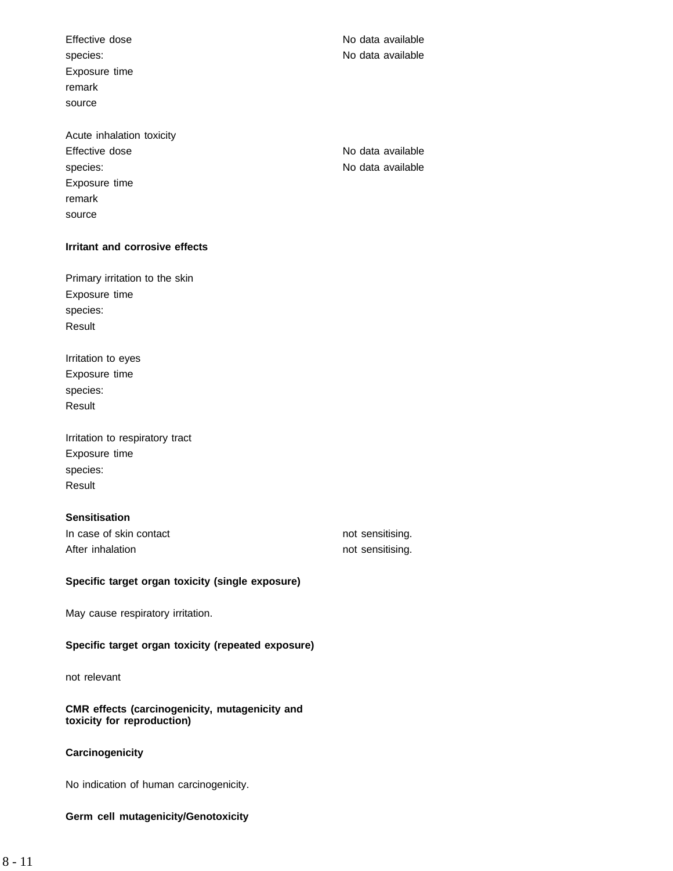Effective dose No data available species: No data available Exposure time remark source

Acute inhalation toxicity Effective dose **No data available** No data available species: No data available Exposure time remark source

# **Irritant and corrosive effects**

Primary irritation to the skin Exposure time species: Result

Irritation to eyes Exposure time species: Result

| Irritation to respiratory tract |
|---------------------------------|
| Exposure time                   |
| species:                        |
| Result                          |

# **Sensitisation**

In case of skin contact not sensitising. After inhalation not sensitising.

# **Specific target organ toxicity (single exposure)**

May cause respiratory irritation.

# **Specific target organ toxicity (repeated exposure)**

not relevant

**CMR effects (carcinogenicity, mutagenicity and toxicity for reproduction)**

# **Carcinogenicity**

No indication of human carcinogenicity.

# **Germ cell mutagenicity/Genotoxicity**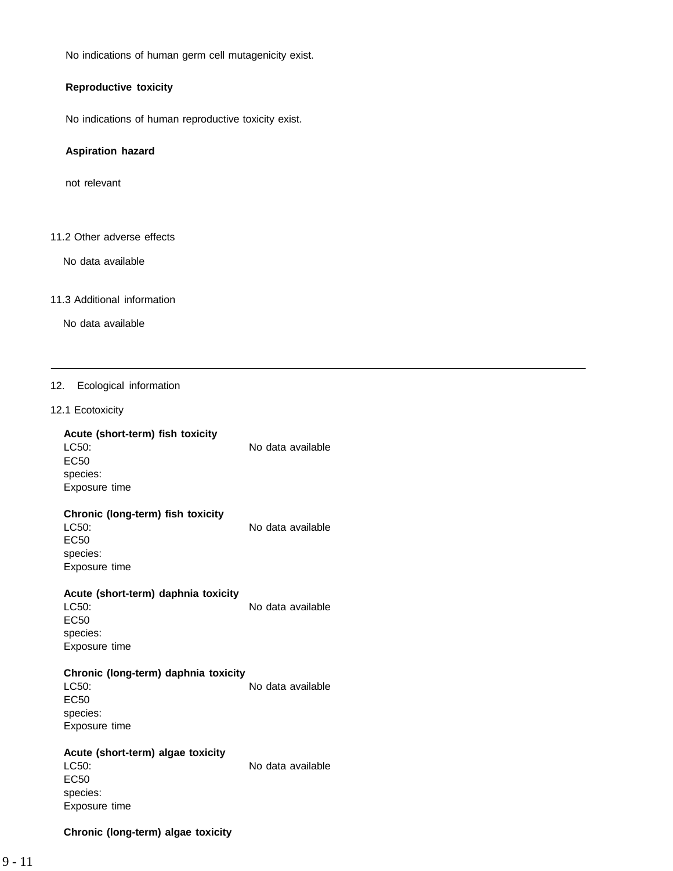No indications of human germ cell mutagenicity exist.

# **Reproductive toxicity**

No indications of human reproductive toxicity exist.

#### **Aspiration hazard**

not relevant

# 11.2 Other adverse effects

No data available

#### 11.3 Additional information

No data available

#### 12. Ecological information

#### 12.1 Ecotoxicity

# **Acute (short-term) fish toxicity**

LC50: No data available EC50 species: Exposure time

# **Chronic (long-term) fish toxicity**

EC50 species: Exposure time

LC50: No data available

#### **Acute (short-term) daphnia toxicity** LC50: No data available

EC50 species: Exposure time

#### **Chronic (long-term) daphnia toxicity**

LC50: No data available EC50 species: Exposure time

#### **Acute (short-term) algae toxicity** LC50: No data available

EC50 species: Exposure time

# **Chronic (long-term) algae toxicity**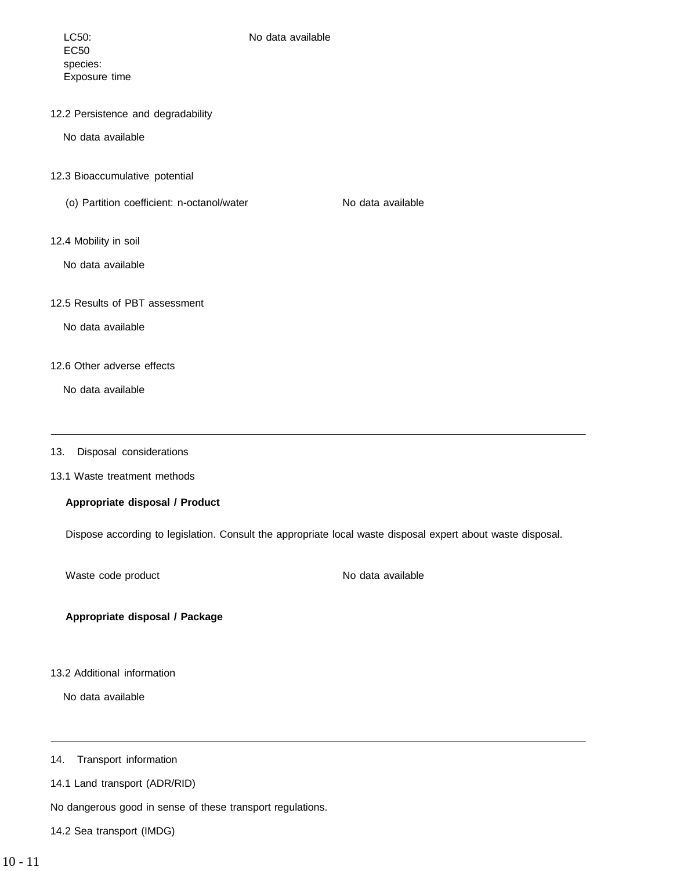# LC50: No data available

EC50 species: Exposure time

12.2 Persistence and degradability

No data available

- 12.3 Bioaccumulative potential
	- (o) Partition coefficient: n-octanol/water No data available
		-

12.4 Mobility in soil

No data available

12.5 Results of PBT assessment

No data available

# 12.6 Other adverse effects

No data available

#### 13. Disposal considerations

13.1 Waste treatment methods

# **Appropriate disposal / Product**

Dispose according to legislation. Consult the appropriate local waste disposal expert about waste disposal.

Waste code product No data available

**Appropriate disposal / Package**

# 13.2 Additional information

No data available

14. Transport information

14.1 Land transport (ADR/RID)

No dangerous good in sense of these transport regulations.

14.2 Sea transport (IMDG)